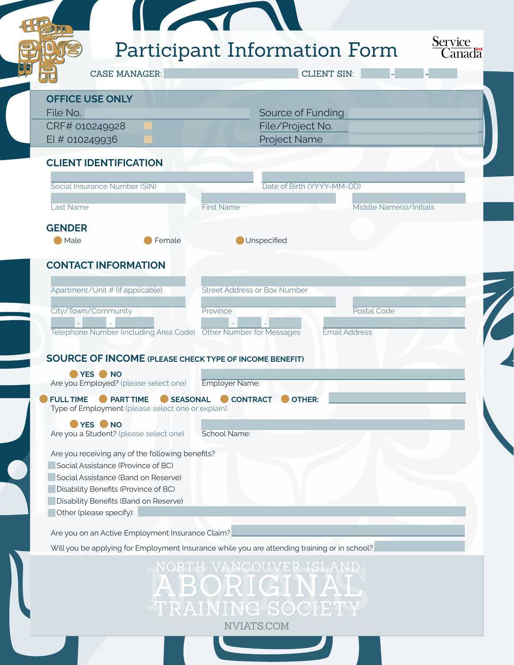|                                                                                                                                                                                                                 | Participant Information Form<br>Canadä                                                       |
|-----------------------------------------------------------------------------------------------------------------------------------------------------------------------------------------------------------------|----------------------------------------------------------------------------------------------|
| <b>CASE MANAGER:</b>                                                                                                                                                                                            | <b>CLIENT SIN:</b>                                                                           |
| <b>OFFICE USE ONLY</b>                                                                                                                                                                                          |                                                                                              |
| File No.                                                                                                                                                                                                        | Source of Funding                                                                            |
| CRF# 010249928<br>EI # 010249936                                                                                                                                                                                | File/Project No.<br>Project Name                                                             |
|                                                                                                                                                                                                                 |                                                                                              |
| <b>CLIENT IDENTIFICATION</b>                                                                                                                                                                                    |                                                                                              |
| Social Insurance Number (SIN)                                                                                                                                                                                   | Date of Birth (YYYY-MM-DD)                                                                   |
| <b>Last Name</b>                                                                                                                                                                                                | Middle Name(s)/Initials<br><b>First Name</b>                                                 |
| <b>GENDER</b>                                                                                                                                                                                                   |                                                                                              |
| Male<br>Female                                                                                                                                                                                                  | Unspecified                                                                                  |
| <b>CONTACT INFORMATION</b>                                                                                                                                                                                      |                                                                                              |
|                                                                                                                                                                                                                 |                                                                                              |
| Apartment/Unit # (if applicable)                                                                                                                                                                                | <b>Street Address or Box Number</b>                                                          |
| City/Town/Community                                                                                                                                                                                             | Postal Code<br>Province                                                                      |
|                                                                                                                                                                                                                 |                                                                                              |
|                                                                                                                                                                                                                 | <b>Email Address</b>                                                                         |
|                                                                                                                                                                                                                 |                                                                                              |
|                                                                                                                                                                                                                 |                                                                                              |
| YES NO                                                                                                                                                                                                          |                                                                                              |
|                                                                                                                                                                                                                 | Employer Name:                                                                               |
| <b>SOURCE OF INCOME (PLEASE CHECK TYPE OF INCOME BENEFIT)</b><br>Are you Employed? (please select one)<br><b>PART TIME</b><br><b>FULL TIME</b><br>SEASONAL<br>Type of Employment (please select one or explain) | <b>CONTRACT</b><br><b>OTHER:</b>                                                             |
| YES NO                                                                                                                                                                                                          |                                                                                              |
|                                                                                                                                                                                                                 | School Name:                                                                                 |
|                                                                                                                                                                                                                 |                                                                                              |
| Are you a Student? (please select one)<br>Are you receiving any of the following benefits?<br>Social Assistance (Province of BC)                                                                                |                                                                                              |
| Social Assistance (Band on Reserve)                                                                                                                                                                             |                                                                                              |
| Disability Benefits (Province of BC)<br>Disability Benefits (Band on Reserve)                                                                                                                                   |                                                                                              |
| Other (please specify):                                                                                                                                                                                         |                                                                                              |
|                                                                                                                                                                                                                 |                                                                                              |
|                                                                                                                                                                                                                 | Will you be applying for Employment Insurance while you are attending training or in school? |
| Are you on an Active Employment Insurance Claim?                                                                                                                                                                |                                                                                              |
|                                                                                                                                                                                                                 | NORTH VANCOUVER ISLAND<br>ABORIGINAL                                                         |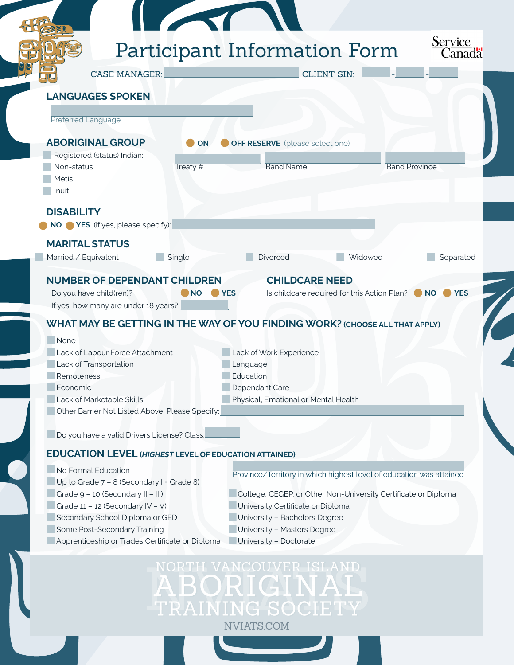|                                                                                 |           | Participant Information Form                                                | Service<br>$C$ anadä |
|---------------------------------------------------------------------------------|-----------|-----------------------------------------------------------------------------|----------------------|
| <b>CASE MANAGER:</b>                                                            |           | <b>CLIENT SIN:</b>                                                          |                      |
| <b>LANGUAGES SPOKEN</b>                                                         |           |                                                                             |                      |
|                                                                                 |           |                                                                             |                      |
| Preferred Language                                                              |           |                                                                             |                      |
| <b>ABORIGINAL GROUP</b>                                                         | <b>ON</b> | <b>OFF RESERVE</b> (please select one)                                      |                      |
| Registered (status) Indian:                                                     |           |                                                                             |                      |
| Non-status<br>Métis                                                             | Treaty #  | <b>Band Province</b><br><b>Band Name</b>                                    |                      |
| Inuit                                                                           |           |                                                                             |                      |
|                                                                                 |           |                                                                             |                      |
| <b>DISABILITY</b>                                                               |           |                                                                             |                      |
| NO <b>YES</b> (if yes, please specify):                                         |           |                                                                             |                      |
| <b>MARITAL STATUS</b>                                                           |           |                                                                             |                      |
| Married / Equivalent                                                            | Single    | Divorced<br>Widowed                                                         | Separated            |
|                                                                                 |           |                                                                             |                      |
|                                                                                 |           |                                                                             |                      |
| <b>NUMBER OF DEPENDANT CHILDREN</b>                                             |           | <b>CHILDCARE NEED</b>                                                       |                      |
|                                                                                 | <b>NO</b> | <b>YES</b>                                                                  | <b>YES</b>           |
| Do you have child(ren)?                                                         |           | Is childcare required for this Action Plan? • NO                            |                      |
| If yes, how many are under 18 years?                                            |           |                                                                             |                      |
|                                                                                 |           | WHAT MAY BE GETTING IN THE WAY OF YOU FINDING WORK? (CHOOSE ALL THAT APPLY) |                      |
| None                                                                            |           |                                                                             |                      |
| Lack of Labour Force Attachment                                                 |           | Lack of Work Experience                                                     |                      |
| Lack of Transportation                                                          |           | Language                                                                    |                      |
| Remoteness                                                                      |           | Education                                                                   |                      |
| Economic                                                                        |           | Dependant Care                                                              |                      |
| Lack of Marketable Skills                                                       |           | Physical, Emotional or Mental Health                                        |                      |
| Other Barrier Not Listed Above, Please Specify:                                 |           |                                                                             |                      |
|                                                                                 |           |                                                                             |                      |
| Do you have a valid Drivers License? Class:                                     |           |                                                                             |                      |
|                                                                                 |           |                                                                             |                      |
| <b>EDUCATION LEVEL (HIGHEST LEVEL OF EDUCATION ATTAINED)</b>                    |           |                                                                             |                      |
| No Formal Education                                                             |           | Province/Territory in which highest level of education was attained         |                      |
| Up to Grade 7 - 8 (Secondary I = Grade 8)                                       |           |                                                                             |                      |
| Grade 9 - 10 (Secondary II - III)                                               |           | College, CEGEP, or Other Non-University Certificate or Diploma              |                      |
| Grade 11 - 12 (Secondary IV - V)                                                |           | University Certificate or Diploma                                           |                      |
| Secondary School Diploma or GED                                                 |           | University - Bachelors Degree                                               |                      |
| Some Post-Secondary Training<br>Apprenticeship or Trades Certificate or Diploma |           | University - Masters Degree<br>University - Doctorate                       |                      |

ABORIGINAL<br>TRAINING SOCIETY NVIATS.COM